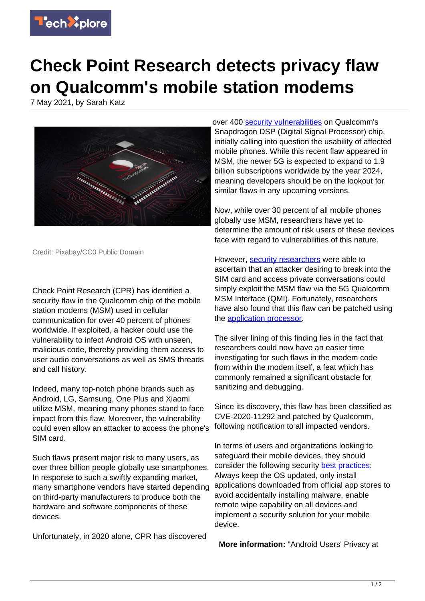

## **Check Point Research detects privacy flaw on Qualcomm's mobile station modems**

7 May 2021, by Sarah Katz



Credit: Pixabay/CC0 Public Domain

Check Point Research (CPR) has identified a security flaw in the Qualcomm chip of the mobile station modems (MSM) used in cellular communication for over 40 percent of phones worldwide. If exploited, a hacker could use the vulnerability to infect Android OS with unseen, malicious code, thereby providing them access to user audio conversations as well as SMS threads and call history.

Indeed, many top-notch phone brands such as Android, LG, Samsung, One Plus and Xiaomi utilize MSM, meaning many phones stand to face impact from this flaw. Moreover, the vulnerability could even allow an attacker to access the phone's SIM card.

Such flaws present major risk to many users, as over three billion people globally use smartphones. In response to such a swiftly expanding market, many smartphone vendors have started depending on third-party manufacturers to produce both the hardware and software components of these devices.

Unfortunately, in 2020 alone, CPR has discovered

over 400 [security vulnerabilities](https://techxplore.com/tags/security+vulnerabilities/) on Qualcomm's Snapdragon DSP (Digital Signal Processor) chip. initially calling into question the usability of affected mobile phones. While this recent flaw appeared in MSM, the newer 5G is expected to expand to 1.9 billion subscriptions worldwide by the year 2024, meaning developers should be on the lookout for similar flaws in any upcoming versions.

Now, while over 30 percent of all mobile phones globally use MSM, researchers have yet to determine the amount of risk users of these devices face with regard to vulnerabilities of this nature.

However, [security researchers](https://techxplore.com/tags/security+researchers/) were able to ascertain that an attacker desiring to break into the SIM card and access private conversations could simply exploit the MSM flaw via the 5G Qualcomm MSM Interface (QMI). Fortunately, researchers have also found that this flaw can be patched using the [application processor.](https://techxplore.com/tags/application+processor/)

The silver lining of this finding lies in the fact that researchers could now have an easier time investigating for such flaws in the modem code from within the modem itself, a feat which has commonly remained a significant obstacle for sanitizing and debugging.

Since its discovery, this flaw has been classified as CVE-2020-11292 and patched by Qualcomm, following notification to all impacted vendors.

In terms of users and organizations looking to safeguard their mobile devices, they should consider the following security [best practices](https://techxplore.com/tags/best+practices/): Always keep the OS updated, only install applications downloaded from official app stores to avoid accidentally installing malware, enable remote wipe capability on all devices and implement a security solution for your mobile device.

**More information:** "Android Users' Privacy at